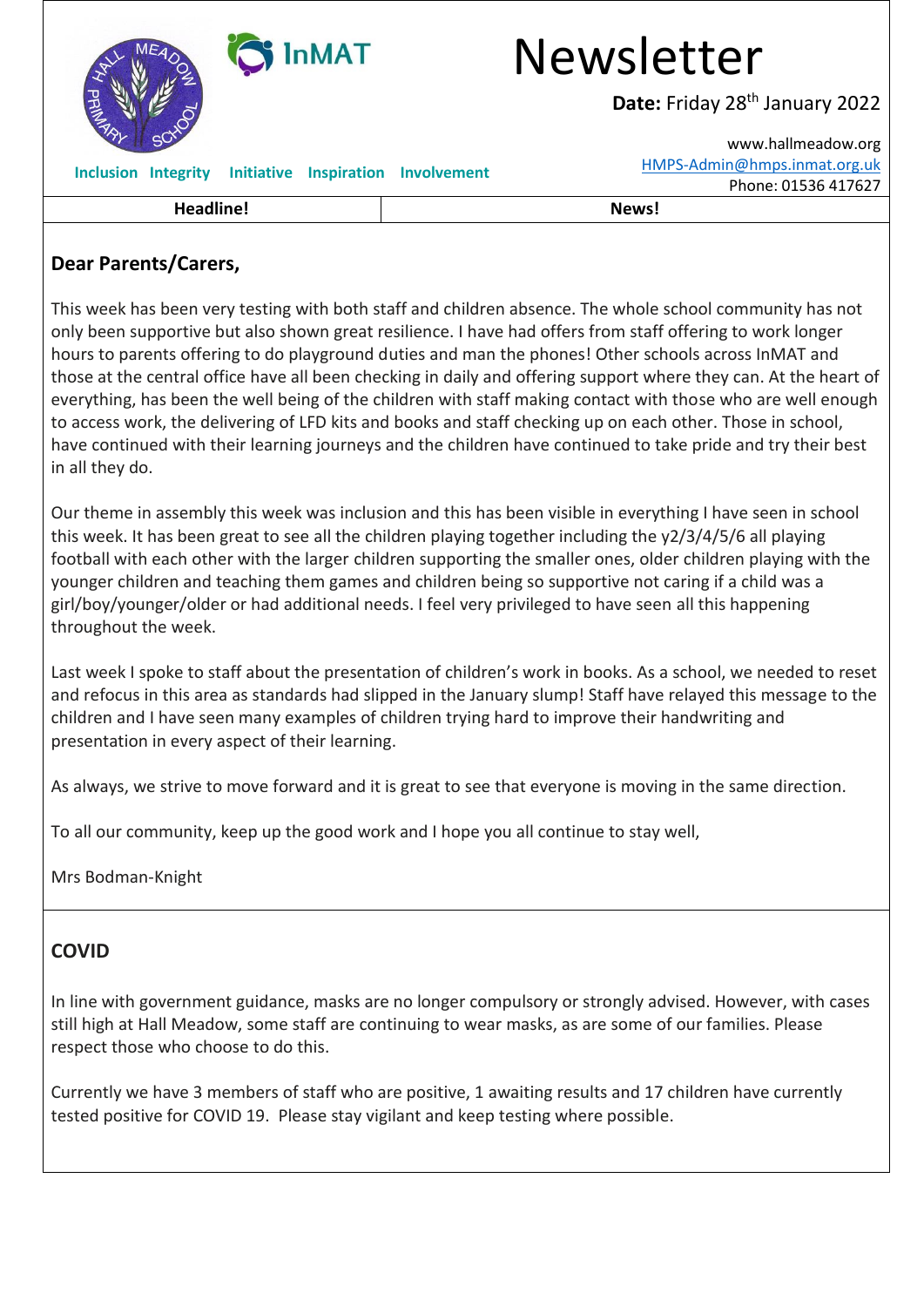| <b>InMAT</b>                                                | <b>Newsletter</b>                           |
|-------------------------------------------------------------|---------------------------------------------|
|                                                             | Date: Friday 28 <sup>th</sup> January 2022  |
|                                                             | www.hallmeadow.org                          |
| <b>Initiative Inspiration</b><br><b>Inclusion Integrity</b> | HMPS-Admin@hmps.inmat.org.uk<br>Involvement |
|                                                             | Phone: 01536 417627                         |
| Headline!                                                   | News!                                       |

### **Dear Parents/Carers,**

This week has been very testing with both staff and children absence. The whole school community has not only been supportive but also shown great resilience. I have had offers from staff offering to work longer hours to parents offering to do playground duties and man the phones! Other schools across InMAT and those at the central office have all been checking in daily and offering support where they can. At the heart of everything, has been the well being of the children with staff making contact with those who are well enough to access work, the delivering of LFD kits and books and staff checking up on each other. Those in school, have continued with their learning journeys and the children have continued to take pride and try their best in all they do.

Our theme in assembly this week was inclusion and this has been visible in everything I have seen in school this week. It has been great to see all the children playing together including the y2/3/4/5/6 all playing football with each other with the larger children supporting the smaller ones, older children playing with the younger children and teaching them games and children being so supportive not caring if a child was a girl/boy/younger/older or had additional needs. I feel very privileged to have seen all this happening throughout the week.

Last week I spoke to staff about the presentation of children's work in books. As a school, we needed to reset and refocus in this area as standards had slipped in the January slump! Staff have relayed this message to the children and I have seen many examples of children trying hard to improve their handwriting and presentation in every aspect of their learning.

As always, we strive to move forward and it is great to see that everyone is moving in the same direction.

To all our community, keep up the good work and I hope you all continue to stay well,

Mrs Bodman-Knight

## **COVID**

In line with government guidance, masks are no longer compulsory or strongly advised. However, with cases still high at Hall Meadow, some staff are continuing to wear masks, as are some of our families. Please respect those who choose to do this.

Currently we have 3 members of staff who are positive, 1 awaiting results and 17 children have currently tested positive for COVID 19. Please stay vigilant and keep testing where possible.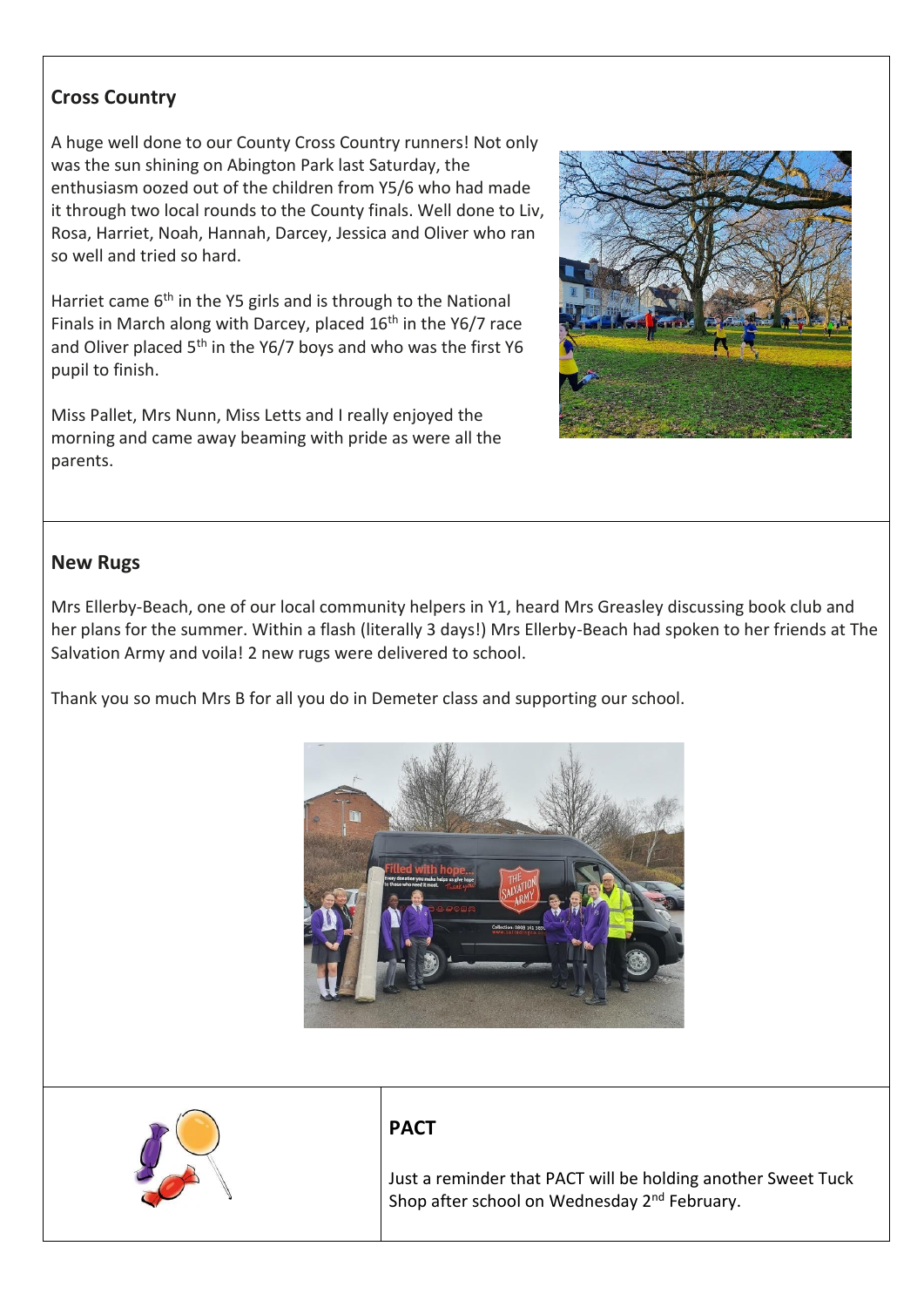#### **Cross Country**

A huge well done to our County Cross Country runners! Not only was the sun shining on Abington Park last Saturday, the enthusiasm oozed out of the children from Y5/6 who had made it through two local rounds to the County finals. Well done to Liv, Rosa, Harriet, Noah, Hannah, Darcey, Jessica and Oliver who ran so well and tried so hard.

Harriet came 6<sup>th</sup> in the Y5 girls and is through to the National Finals in March along with Darcey, placed  $16<sup>th</sup>$  in the Y6/7 race and Oliver placed  $5<sup>th</sup>$  in the Y6/7 boys and who was the first Y6 pupil to finish.

Miss Pallet, Mrs Nunn, Miss Letts and I really enjoyed the morning and came away beaming with pride as were all the parents.



#### **New Rugs**

Mrs Ellerby-Beach, one of our local community helpers in Y1, heard Mrs Greasley discussing book club and her plans for the summer. Within a flash (literally 3 days!) Mrs Ellerby-Beach had spoken to her friends at The Salvation Army and voila! 2 new rugs were delivered to school.

Thank you so much Mrs B for all you do in Demeter class and supporting our school.





#### **PACT**

Just a reminder that PACT will be holding another Sweet Tuck Shop after school on Wednesday 2<sup>nd</sup> February.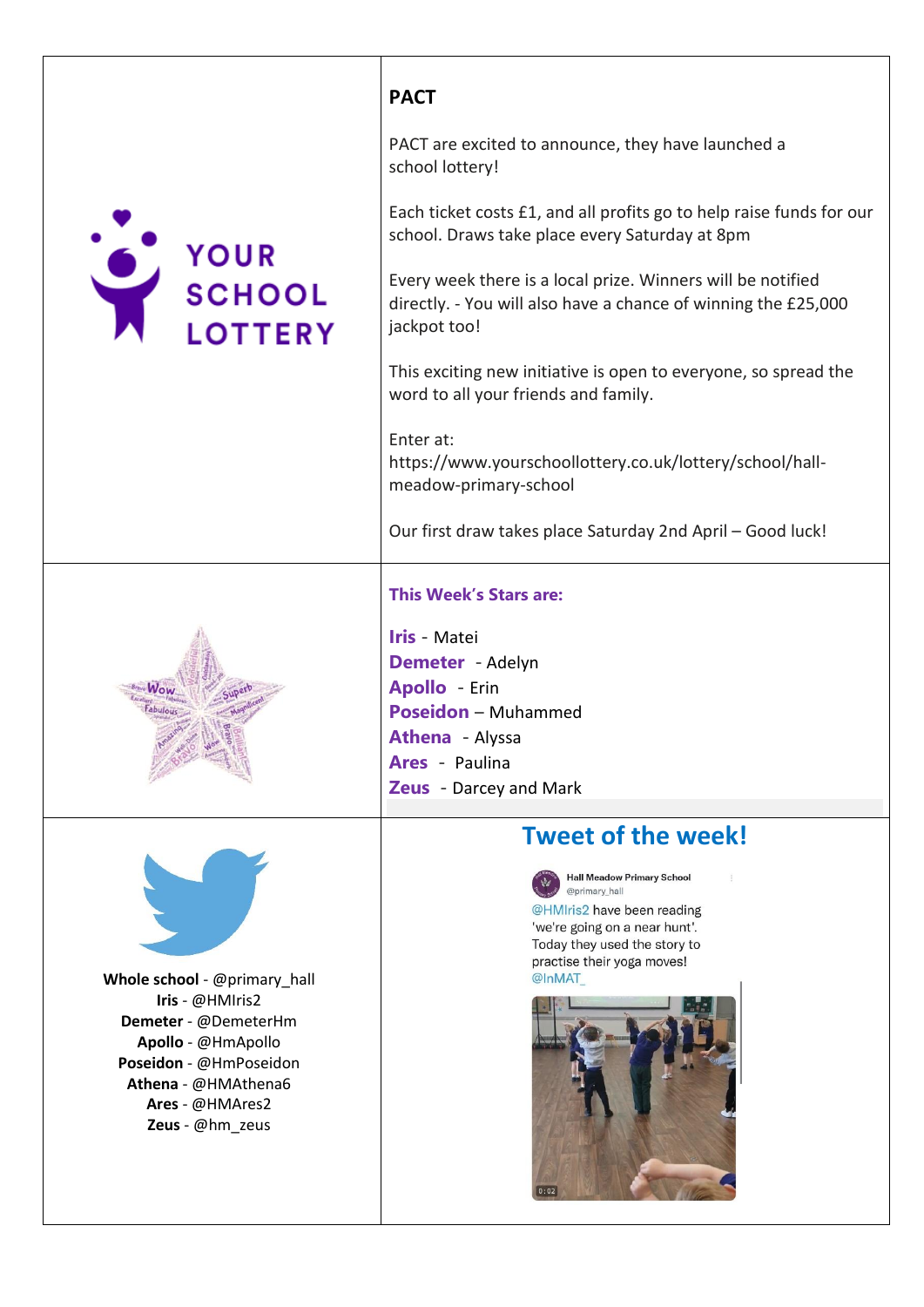



PACT are excited to announce, they have launched a school lottery!

Each ticket costs £1, and all profits go to help raise funds for our school. Draws take place every Saturday at 8pm

Every week there is a local prize. Winners will be notified directly. - You will also have a chance of winning the £25,000 jackpot too!

This exciting new initiative is open to everyone, so spread the word to all your friends and family.

Enter at: https://www.yourschoollottery.co.uk/lottery/school/hallmeadow-primary-school

Our first draw takes place Saturday 2nd April – Good luck!

#### **This Week's Stars are:**

**Iris** - Matei **Demeter** - Adelyn **Apollo** - Erin **Poseidon** – Muhammed **Athena** - Alyssa **Ares** - Paulina



**Whole school** - @primary\_hall **Iris** - @HMIris2 **Demeter** - @DemeterHm **Apollo** - @HmApollo **Poseidon** - @HmPoseidon **Athena** - @HMAthena6 **Ares** - @HMAres2 **Zeus** - @hm\_zeus

# **Zeus** - Darcey and Mark **Tweet of the week!**

**Hall Meadow Primary School** @primary hall

@HMIris2 have been reading 'we're going on a near hunt'. Today they used the story to practise their yoga moves! @InMAT